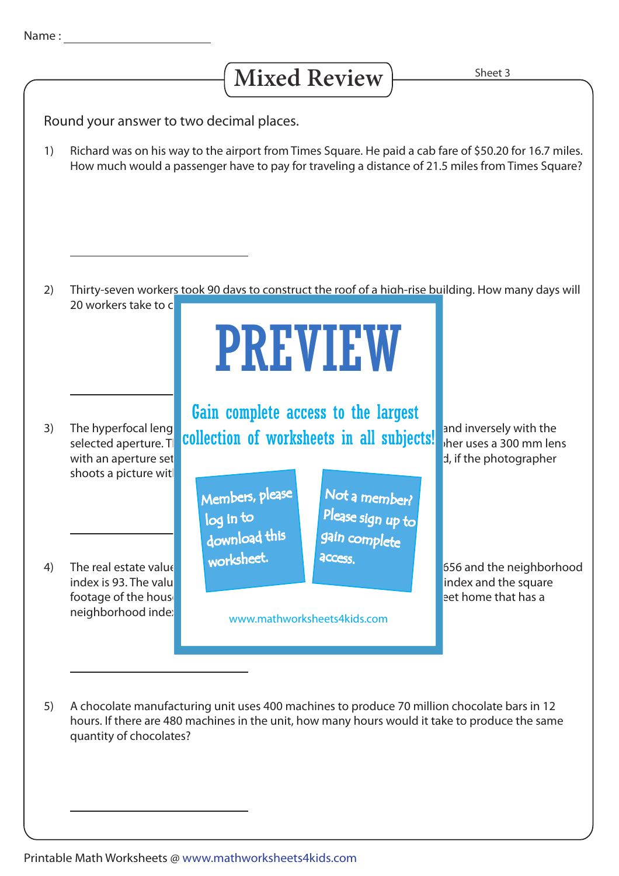## Mixed Review **Sheet 3**

Round your answer to two decimal places.

Richard was on his way to the airport from Times Square. He paid a cab fare of \$50.20 for 16.7 miles. How much would a passenger have to pay for traveling a distance of 21.5 miles from Times Square? 1)

Thirty-seven workers took 90 days to construct the roof of a high-rise building. How many days will 20 workers take to  $\epsilon$ 2)

## PREVIEW

shoots a picture wit 3)

footage of the house. The real estate value of a 4,100 square feet home that has a neighborhood inde: 4)

The hyperfocal length valiation of the share of the square of the focal length and inversely with the The hyperfocal length collection of worksheets in all subjects! The liversely with the Gain complete access to the largest

> Members, please download this worksheet. log in to

Not a member? gain complete Please sign up to **access** 

www.mathworksheets4kids.com

with an aperture set the hyperforming of 2.7. Determine the hyperforming required, if the photographer

The real estate value  $\blacksquare$  worksheet the a 2,400 square feed home in Canonsburg is  $\blacksquare$ index is 93. The value of real estate varies index and the square

A chocolate manufacturing unit uses 400 machines to produce 70 million chocolate bars in 12 hours. If there are 480 machines in the unit, how many hours would it take to produce the same quantity of chocolates? 5)